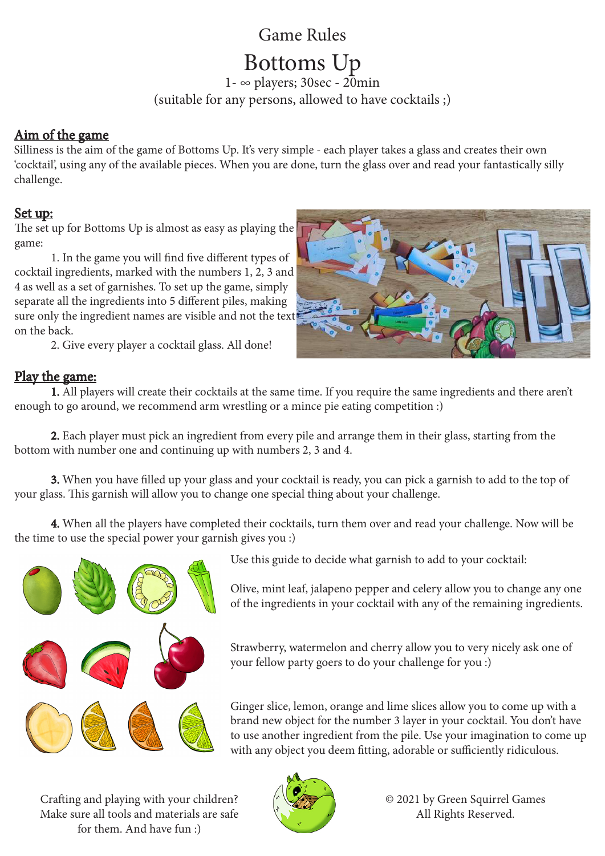## Game Rules

# Bottoms Up

1- ∞ players; 30sec - 20min (suitable for any persons, allowed to have cocktails ;)

#### Aim of the game

Silliness is the aim of the game of Bottoms Up. It's very simple - each player takes a glass and creates their own 'cocktail', using any of the available pieces. When you are done, turn the glass over and read your fantastically silly challenge.

#### Set up:

The set up for Bottoms Up is almost as easy as playing the game:

1. In the game you will find five different types of cocktail ingredients, marked with the numbers 1, 2, 3 and 4 as well as a set of garnishes. To set up the game, simply separate all the ingredients into 5 different piles, making sure only the ingredient names are visible and not the text on the back.

2. Give every player a cocktail glass. All done!





 1. All players will create their cocktails at the same time. If you require the same ingredients and there aren't enough to go around, we recommend arm wrestling or a mince pie eating competition :)

 2. Each player must pick an ingredient from every pile and arrange them in their glass, starting from the bottom with number one and continuing up with numbers 2, 3 and 4.

 3. When you have filled up your glass and your cocktail is ready, you can pick a garnish to add to the top of your glass. This garnish will allow you to change one special thing about your challenge.

 4. When all the players have completed their cocktails, turn them over and read your challenge. Now will be the time to use the special power your garnish gives you :)



Use this guide to decide what garnish to add to your cocktail:

Olive, mint leaf, jalapeno pepper and celery allow you to change any one of the ingredients in your cocktail with any of the remaining ingredients.

Strawberry, watermelon and cherry allow you to very nicely ask one of your fellow party goers to do your challenge for you :)

Ginger slice, lemon, orange and lime slices allow you to come up with a brand new object for the number 3 layer in your cocktail. You don't have to use another ingredient from the pile. Use your imagination to come up with any object you deem fitting, adorable or sufficiently ridiculous.

Crafting and playing with your children? Make sure all tools and materials are safe for them. And have fun :)



© 2021 by Green Squirrel Games All Rights Reserved.